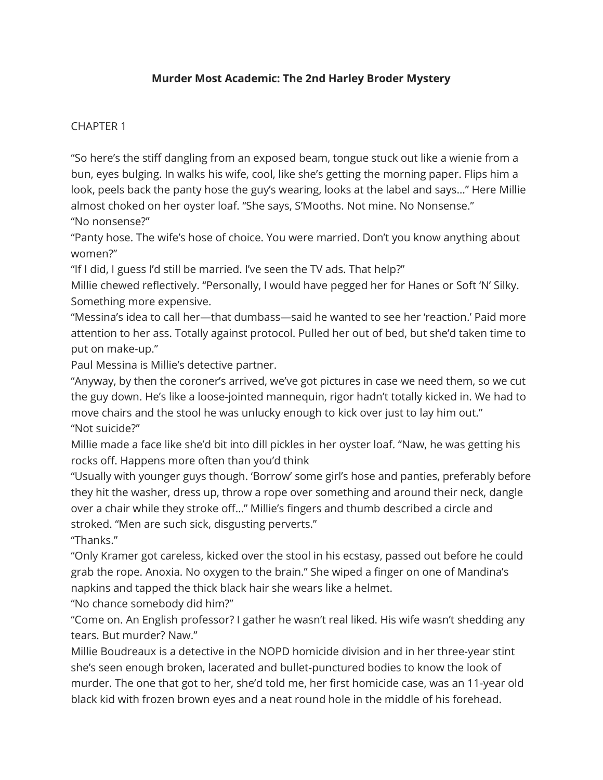## Murder Most Academic: The 2nd Harley Broder Mystery

## CHAPTER 1

"So here's the stiff dangling from an exposed beam, tongue stuck out like a wienie from a bun, eyes bulging. In walks his wife, cool, like she's getting the morning paper. Flips him a look, peels back the panty hose the guy's wearing, looks at the label and says…" Here Millie almost choked on her oyster loaf. "She says, S'Mooths. Not mine. No Nonsense." "No nonsense?"

"Panty hose. The wife's hose of choice. You were married. Don't you know anything about women?"

"If I did, I guess I'd still be married. I've seen the TV ads. That help?"

Millie chewed reflectively. "Personally, I would have pegged her for Hanes or Soft 'N' Silky. Something more expensive.

"Messina's idea to call her—that dumbass—said he wanted to see her 'reaction.' Paid more attention to her ass. Totally against protocol. Pulled her out of bed, but she'd taken time to put on make-up."

Paul Messina is Millie's detective partner.

"Anyway, by then the coroner's arrived, we've got pictures in case we need them, so we cut the guy down. He's like a loose-jointed mannequin, rigor hadn't totally kicked in. We had to move chairs and the stool he was unlucky enough to kick over just to lay him out." "Not suicide?"

Millie made a face like she'd bit into dill pickles in her oyster loaf. "Naw, he was getting his rocks off. Happens more often than you'd think

"Usually with younger guys though. 'Borrow' some girl's hose and panties, preferably before they hit the washer, dress up, throw a rope over something and around their neck, dangle over a chair while they stroke off…" Millie's fingers and thumb described a circle and stroked. "Men are such sick, disgusting perverts."

"Thanks."

"Only Kramer got careless, kicked over the stool in his ecstasy, passed out before he could grab the rope. Anoxia. No oxygen to the brain." She wiped a finger on one of Mandina's napkins and tapped the thick black hair she wears like a helmet.

"No chance somebody did him?"

"Come on. An English professor? I gather he wasn't real liked. His wife wasn't shedding any tears. But murder? Naw."

Millie Boudreaux is a detective in the NOPD homicide division and in her three-year stint she's seen enough broken, lacerated and bullet-punctured bodies to know the look of murder. The one that got to her, she'd told me, her first homicide case, was an 11-year old black kid with frozen brown eyes and a neat round hole in the middle of his forehead.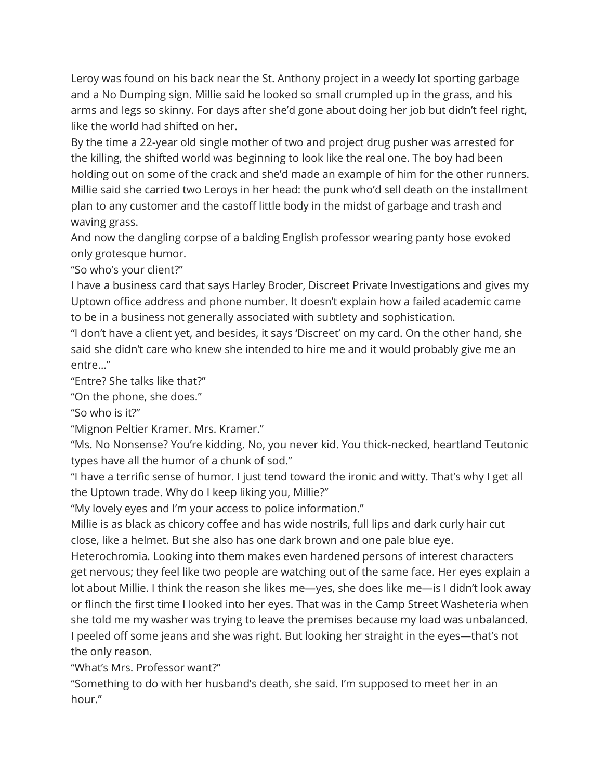Leroy was found on his back near the St. Anthony project in a weedy lot sporting garbage and a No Dumping sign. Millie said he looked so small crumpled up in the grass, and his arms and legs so skinny. For days after she'd gone about doing her job but didn't feel right, like the world had shifted on her.

By the time a 22-year old single mother of two and project drug pusher was arrested for the killing, the shifted world was beginning to look like the real one. The boy had been holding out on some of the crack and she'd made an example of him for the other runners. Millie said she carried two Leroys in her head: the punk who'd sell death on the installment plan to any customer and the castoff little body in the midst of garbage and trash and waving grass.

And now the dangling corpse of a balding English professor wearing panty hose evoked only grotesque humor.

"So who's your client?"

I have a business card that says Harley Broder, Discreet Private Investigations and gives my Uptown office address and phone number. It doesn't explain how a failed academic came to be in a business not generally associated with subtlety and sophistication.

"I don't have a client yet, and besides, it says 'Discreet' on my card. On the other hand, she said she didn't care who knew she intended to hire me and it would probably give me an entre…"

"Entre? She talks like that?"

"On the phone, she does."

"So who is it?"

"Mignon Peltier Kramer. Mrs. Kramer."

"Ms. No Nonsense? You're kidding. No, you never kid. You thick-necked, heartland Teutonic types have all the humor of a chunk of sod."

"I have a terrific sense of humor. I just tend toward the ironic and witty. That's why I get all the Uptown trade. Why do I keep liking you, Millie?"

"My lovely eyes and I'm your access to police information."

Millie is as black as chicory coffee and has wide nostrils, full lips and dark curly hair cut close, like a helmet. But she also has one dark brown and one pale blue eye.

Heterochromia. Looking into them makes even hardened persons of interest characters get nervous; they feel like two people are watching out of the same face. Her eyes explain a lot about Millie. I think the reason she likes me—yes, she does like me—is I didn't look away or flinch the first time I looked into her eyes. That was in the Camp Street Washeteria when she told me my washer was trying to leave the premises because my load was unbalanced. I peeled off some jeans and she was right. But looking her straight in the eyes—that's not the only reason.

"What's Mrs. Professor want?"

"Something to do with her husband's death, she said. I'm supposed to meet her in an hour."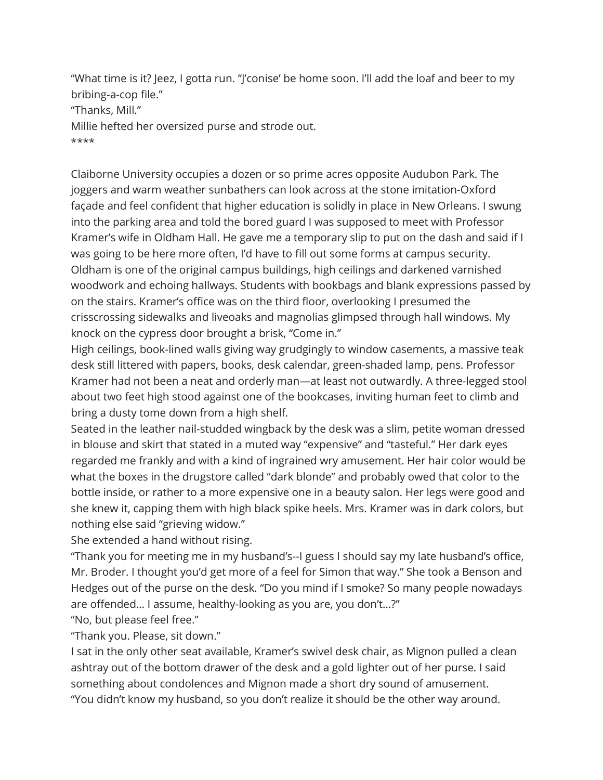"What time is it? Jeez, I gotta run. "J'conise' be home soon. I'll add the loaf and beer to my bribing-a-cop file." "Thanks, Mill." Millie hefted her oversized purse and strode out. \*\*\*\*

Claiborne University occupies a dozen or so prime acres opposite Audubon Park. The joggers and warm weather sunbathers can look across at the stone imitation-Oxford façade and feel confident that higher education is solidly in place in New Orleans. I swung into the parking area and told the bored guard I was supposed to meet with Professor Kramer's wife in Oldham Hall. He gave me a temporary slip to put on the dash and said if I was going to be here more often, I'd have to fill out some forms at campus security. Oldham is one of the original campus buildings, high ceilings and darkened varnished woodwork and echoing hallways. Students with bookbags and blank expressions passed by on the stairs. Kramer's office was on the third floor, overlooking I presumed the crisscrossing sidewalks and liveoaks and magnolias glimpsed through hall windows. My knock on the cypress door brought a brisk, "Come in."

High ceilings, book-lined walls giving way grudgingly to window casements, a massive teak desk still littered with papers, books, desk calendar, green-shaded lamp, pens. Professor Kramer had not been a neat and orderly man—at least not outwardly. A three-legged stool about two feet high stood against one of the bookcases, inviting human feet to climb and bring a dusty tome down from a high shelf.

Seated in the leather nail-studded wingback by the desk was a slim, petite woman dressed in blouse and skirt that stated in a muted way "expensive" and "tasteful." Her dark eyes regarded me frankly and with a kind of ingrained wry amusement. Her hair color would be what the boxes in the drugstore called "dark blonde" and probably owed that color to the bottle inside, or rather to a more expensive one in a beauty salon. Her legs were good and she knew it, capping them with high black spike heels. Mrs. Kramer was in dark colors, but nothing else said "grieving widow."

She extended a hand without rising.

"Thank you for meeting me in my husband's--I guess I should say my late husband's office, Mr. Broder. I thought you'd get more of a feel for Simon that way." She took a Benson and Hedges out of the purse on the desk. "Do you mind if I smoke? So many people nowadays are offended… I assume, healthy-looking as you are, you don't…?"

"No, but please feel free."

"Thank you. Please, sit down."

I sat in the only other seat available, Kramer's swivel desk chair, as Mignon pulled a clean ashtray out of the bottom drawer of the desk and a gold lighter out of her purse. I said something about condolences and Mignon made a short dry sound of amusement. "You didn't know my husband, so you don't realize it should be the other way around.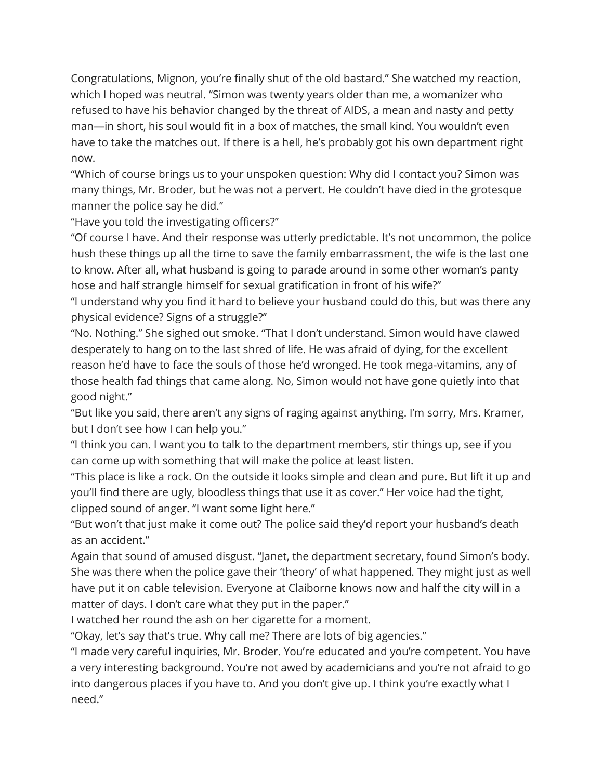Congratulations, Mignon, you're finally shut of the old bastard." She watched my reaction, which I hoped was neutral. "Simon was twenty years older than me, a womanizer who refused to have his behavior changed by the threat of AIDS, a mean and nasty and petty man—in short, his soul would fit in a box of matches, the small kind. You wouldn't even have to take the matches out. If there is a hell, he's probably got his own department right now.

"Which of course brings us to your unspoken question: Why did I contact you? Simon was many things, Mr. Broder, but he was not a pervert. He couldn't have died in the grotesque manner the police say he did."

"Have you told the investigating officers?"

"Of course I have. And their response was utterly predictable. It's not uncommon, the police hush these things up all the time to save the family embarrassment, the wife is the last one to know. After all, what husband is going to parade around in some other woman's panty hose and half strangle himself for sexual gratification in front of his wife?"

"I understand why you find it hard to believe your husband could do this, but was there any physical evidence? Signs of a struggle?"

"No. Nothing." She sighed out smoke. "That I don't understand. Simon would have clawed desperately to hang on to the last shred of life. He was afraid of dying, for the excellent reason he'd have to face the souls of those he'd wronged. He took mega-vitamins, any of those health fad things that came along. No, Simon would not have gone quietly into that good night."

"But like you said, there aren't any signs of raging against anything. I'm sorry, Mrs. Kramer, but I don't see how I can help you."

"I think you can. I want you to talk to the department members, stir things up, see if you can come up with something that will make the police at least listen.

"This place is like a rock. On the outside it looks simple and clean and pure. But lift it up and you'll find there are ugly, bloodless things that use it as cover." Her voice had the tight, clipped sound of anger. "I want some light here."

"But won't that just make it come out? The police said they'd report your husband's death as an accident."

Again that sound of amused disgust. "Janet, the department secretary, found Simon's body. She was there when the police gave their 'theory' of what happened. They might just as well have put it on cable television. Everyone at Claiborne knows now and half the city will in a matter of days. I don't care what they put in the paper."

I watched her round the ash on her cigarette for a moment.

"Okay, let's say that's true. Why call me? There are lots of big agencies."

"I made very careful inquiries, Mr. Broder. You're educated and you're competent. You have a very interesting background. You're not awed by academicians and you're not afraid to go into dangerous places if you have to. And you don't give up. I think you're exactly what I need."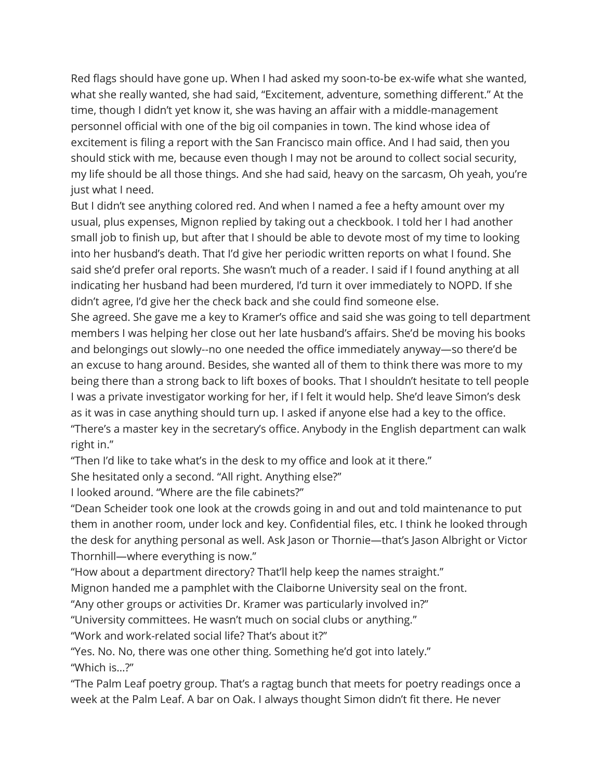Red flags should have gone up. When I had asked my soon-to-be ex-wife what she wanted, what she really wanted, she had said, "Excitement, adventure, something different." At the time, though I didn't yet know it, she was having an affair with a middle-management personnel official with one of the big oil companies in town. The kind whose idea of excitement is filing a report with the San Francisco main office. And I had said, then you should stick with me, because even though I may not be around to collect social security, my life should be all those things. And she had said, heavy on the sarcasm, Oh yeah, you're just what I need.

But I didn't see anything colored red. And when I named a fee a hefty amount over my usual, plus expenses, Mignon replied by taking out a checkbook. I told her I had another small job to finish up, but after that I should be able to devote most of my time to looking into her husband's death. That I'd give her periodic written reports on what I found. She said she'd prefer oral reports. She wasn't much of a reader. I said if I found anything at all indicating her husband had been murdered, I'd turn it over immediately to NOPD. If she didn't agree, I'd give her the check back and she could find someone else.

She agreed. She gave me a key to Kramer's office and said she was going to tell department members I was helping her close out her late husband's affairs. She'd be moving his books and belongings out slowly--no one needed the office immediately anyway—so there'd be an excuse to hang around. Besides, she wanted all of them to think there was more to my being there than a strong back to lift boxes of books. That I shouldn't hesitate to tell people I was a private investigator working for her, if I felt it would help. She'd leave Simon's desk as it was in case anything should turn up. I asked if anyone else had a key to the office. "There's a master key in the secretary's office. Anybody in the English department can walk right in."

"Then I'd like to take what's in the desk to my office and look at it there."

She hesitated only a second. "All right. Anything else?"

I looked around. "Where are the file cabinets?"

"Dean Scheider took one look at the crowds going in and out and told maintenance to put them in another room, under lock and key. Confidential files, etc. I think he looked through the desk for anything personal as well. Ask Jason or Thornie—that's Jason Albright or Victor Thornhill—where everything is now."

"How about a department directory? That'll help keep the names straight."

Mignon handed me a pamphlet with the Claiborne University seal on the front.

"Any other groups or activities Dr. Kramer was particularly involved in?"

"University committees. He wasn't much on social clubs or anything."

"Work and work-related social life? That's about it?"

"Yes. No. No, there was one other thing. Something he'd got into lately." "Which is…?"

"The Palm Leaf poetry group. That's a ragtag bunch that meets for poetry readings once a week at the Palm Leaf. A bar on Oak. I always thought Simon didn't fit there. He never